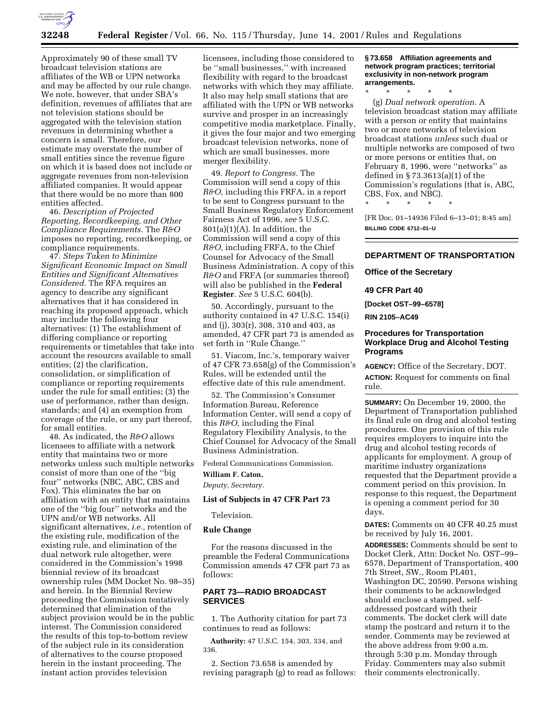

Approximately 90 of these small TV broadcast television stations are affiliates of the WB or UPN networks and may be affected by our rule change. We note, however, that under SBA's definition, revenues of affiliates that are not television stations should be aggregated with the television station revenues in determining whether a concern is small. Therefore, our estimate may overstate the number of small entities since the revenue figure on which it is based does not include or aggregate revenues from non-television affiliated companies. It would appear that there would be no more than 800 entities affected.

46. *Description of Projected Reporting, Recordkeeping, and Other Compliance Requirements.* The *R&O* imposes no reporting, recordkeeping, or compliance requirements.

47. *Steps Taken to Minimize Significant Economic Impact on Small Entities and Significant Alternatives Considered.* The RFA requires an agency to describe any significant alternatives that it has considered in reaching its proposed approach, which may include the following four alternatives: (1) The establishment of differing compliance or reporting requirements or timetables that take into account the resources available to small entities; (2) the clarification, consolidation, or simplification of compliance or reporting requirements under the rule for small entities; (3) the use of performance, rather than design, standards; and (4) an exemption from coverage of the rule, or any part thereof, for small entities.

48. As indicated, the *R&O* allows licensees to affiliate with a network entity that maintains two or more networks unless such multiple networks consist of more than one of the ''big four'' networks (NBC, ABC, CBS and Fox). This eliminates the bar on affiliation with an entity that maintains one of the ''big four'' networks and the UPN and/or WB networks. All significant alternatives, *i.e.,* retention of the existing rule, modification of the existing rule, and elimination of the dual network rule altogether, were considered in the Commission's 1998 biennial review of its broadcast ownership rules (MM Docket No. 98–35) and herein. In the Biennial Review proceeding the Commission tentatively determined that elimination of the subject provision would be in the public interest. The Commission considered the results of this top-to-bottom review of the subject rule in its consideration of alternatives to the course proposed herein in the instant proceeding. The instant action provides television

licensees, including those considered to be ''small businesses,'' with increased flexibility with regard to the broadcast networks with which they may affiliate. It also may help small stations that are affiliated with the UPN or WB networks survive and prosper in an increasingly competitive media marketplace. Finally, it gives the four major and two emerging broadcast television networks, none of which are small businesses, more merger flexibility.

49. *Report to Congress.* The Commission will send a copy of this *R&O,* including this FRFA, in a report to be sent to Congress pursuant to the Small Business Regulatory Enforcement Fairness Act of 1996, *see* 5 U.S.C.  $801(a)(1)(A)$ . In addition, the Commission will send a copy of this *R&O,* including FRFA, to the Chief Counsel for Advocacy of the Small Business Administration. A copy of this *R&O* and FRFA (or summaries thereof) will also be published in the **Federal Register**. *See* 5 U.S.C. 604(b).

50. Accordingly, pursuant to the authority contained in 47 U.S.C. 154(i) and (j), 303(r), 308, 310 and 403, as amended, 47 CFR part 73 is amended as set forth in ''Rule Change.''

51. Viacom, Inc.'s, temporary waiver of 47 CFR 73.658(g) of the Commission's Rules, will be extended until the effective date of this rule amendment.

52. The Commission's Consumer Information Bureau, Reference Information Center, will send a copy of this *R&O,* including the Final Regulatory Flexibility Analysis, to the Chief Counsel for Advocacy of the Small Business Administration.

Federal Communications Commission.

## **William F. Caton,**

*Deputy, Secretary.*

### **List of Subjects in 47 CFR Part 73**

Television.

#### **Rule Change**

For the reasons discussed in the preamble the Federal Communications Commission amends 47 CFR part 73 as follows:

## **PART 73—RADIO BROADCAST SERVICES**

1. The Authority citation for part 73 continues to read as follows:

**Authority:** 47 U.S.C. 154, 303, 334, and 336.

2. Section 73.658 is amended by revising paragraph (g) to read as follows: **§ 73.658 Affiliation agreements and network program practices; territorial exclusivity in non-network program arrangements.**

\* \* \* \* \* (g) *Dual network operation.* A television broadcast station may affiliate with a person or entity that maintains two or more networks of television broadcast stations *unless* such dual or multiple networks are composed of two or more persons or entities that, on February 8, 1996, were ''networks'' as defined in § 73.3613(a)(1) of the Commission's regulations (that is, ABC, CBS, Fox, and NBC).

\* \* \* \* \*

[FR Doc. 01–14936 Filed 6–13–01; 8:45 am] **BILLING CODE 6712–01–U**

# **DEPARTMENT OF TRANSPORTATION**

**Office of the Secretary**

## **49 CFR Part 40**

**[Docket OST–99–6578]**

**RIN 2105–AC49**

## **Procedures for Transportation Workplace Drug and Alcohol Testing Programs**

**AGENCY:** Office of the Secretary, DOT. **ACTION:** Request for comments on final rule.

**SUMMARY:** On December 19, 2000, the Department of Transportation published its final rule on drug and alcohol testing procedures. One provision of this rule requires employers to inquire into the drug and alcohol testing records of applicants for employment. A group of maritime industry organizations requested that the Department provide a comment period on this provision. In response to this request, the Department is opening a comment period for 30 days.

**DATES:** Comments on 40 CFR 40.25 must be received by July 16, 2001.

**ADDRESSES:** Comments should be sent to Docket Clerk, Attn: Docket No. OST–99– 6578, Department of Transportation, 400 7th Street, SW., Room PL401, Washington DC, 20590. Persons wishing their comments to be acknowledged should enclose a stamped, selfaddressed postcard with their comments. The docket clerk will date stamp the postcard and return it to the sender. Comments may be reviewed at the above address from 9:00 a.m. through 5:30 p.m. Monday through Friday. Commenters may also submit their comments electronically.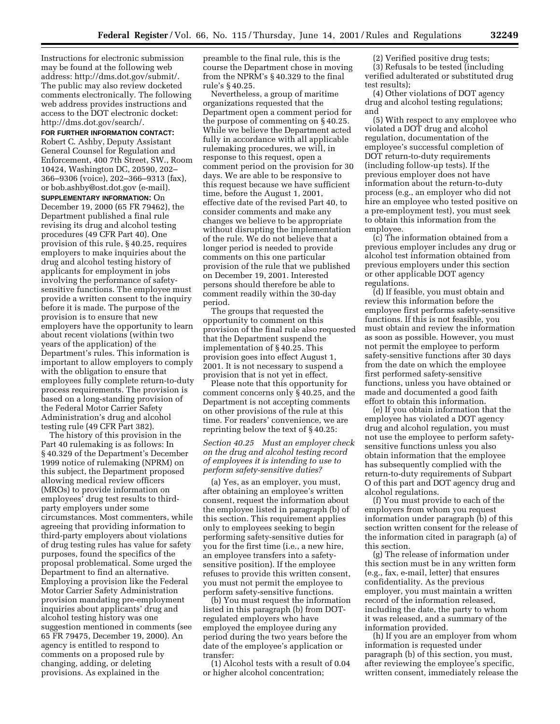Instructions for electronic submission may be found at the following web address: http://dms.dot.gov/submit/. The public may also review docketed comments electronically. The following web address provides instructions and access to the DOT electronic docket: http://dms.dot.gov/search/.

### **FOR FURTHER INFORMATION CONTACT:**

Robert C. Ashby, Deputy Assistant General Counsel for Regulation and Enforcement, 400 7th Street, SW., Room 10424, Washington DC, 20590, 202– 366–9306 (voice), 202–366–9313 (fax), or bob.ashby@ost.dot.gov (e-mail).

**SUPPLEMENTARY INFORMATION:** On December 19, 2000 (65 FR 79462), the Department published a final rule revising its drug and alcohol testing procedures (49 CFR Part 40). One provision of this rule, § 40.25, requires employers to make inquiries about the drug and alcohol testing history of applicants for employment in jobs involving the performance of safetysensitive functions. The employee must provide a written consent to the inquiry before it is made. The purpose of the provision is to ensure that new employers have the opportunity to learn about recent violations (within two years of the application) of the Department's rules. This information is important to allow employers to comply with the obligation to ensure that employees fully complete return-to-duty process requirements. The provision is based on a long-standing provision of the Federal Motor Carrier Safety Administration's drug and alcohol testing rule (49 CFR Part 382).

The history of this provision in the Part 40 rulemaking is as follows: In § 40.329 of the Department's December 1999 notice of rulemaking (NPRM) on this subject, the Department proposed allowing medical review officers (MROs) to provide information on employees' drug test results to thirdparty employers under some circumstances. Most commenters, while agreeing that providing information to third-party employers about violations of drug testing rules has value for safety purposes, found the specifics of the proposal problematical. Some urged the Department to find an alternative. Employing a provision like the Federal Motor Carrier Safety Administration provision mandating pre-employment inquiries about applicants' drug and alcohol testing history was one suggestion mentioned in comments (see 65 FR 79475, December 19, 2000). An agency is entitled to respond to comments on a proposed rule by changing, adding, or deleting provisions. As explained in the

preamble to the final rule, this is the course the Department chose in moving from the NPRM's § 40.329 to the final rule's § 40.25.

Nevertheless, a group of maritime organizations requested that the Department open a comment period for the purpose of commenting on § 40.25. While we believe the Department acted fully in accordance with all applicable rulemaking procedures, we will, in response to this request, open a comment period on the provision for 30 days. We are able to be responsive to this request because we have sufficient time, before the August 1, 2001, effective date of the revised Part 40, to consider comments and make any changes we believe to be appropriate without disrupting the implementation of the rule. We do not believe that a longer period is needed to provide comments on this one particular provision of the rule that we published on December 19, 2001. Interested persons should therefore be able to comment readily within the 30-day period.

The groups that requested the opportunity to comment on this provision of the final rule also requested that the Department suspend the implementation of § 40.25. This provision goes into effect August 1, 2001. It is not necessary to suspend a provision that is not yet in effect.

Please note that this opportunity for comment concerns only § 40.25, and the Department is not accepting comments on other provisions of the rule at this time. For readers' convenience, we are reprinting below the text of § 40.25:

## *Section 40.25 Must an employer check on the drug and alcohol testing record of employees it is intending to use to perform safety-sensitive duties?*

(a) Yes, as an employer, you must, after obtaining an employee's written consent, request the information about the employee listed in paragraph (b) of this section. This requirement applies only to employees seeking to begin performing safety-sensitive duties for you for the first time (i.e., a new hire, an employee transfers into a safetysensitive position). If the employee refuses to provide this written consent, you must not permit the employee to perform safety-sensitive functions.

(b) You must request the information listed in this paragraph (b) from DOTregulated employers who have employed the employee during any period during the two years before the date of the employee's application or transfer:

(1) Alcohol tests with a result of 0.04 or higher alcohol concentration;

(2) Verified positive drug tests; (3) Refusals to be tested (including verified adulterated or substituted drug test results);

(4) Other violations of DOT agency drug and alcohol testing regulations; and

(5) With respect to any employee who violated a DOT drug and alcohol regulation, documentation of the employee's successful completion of DOT return-to-duty requirements (including follow-up tests). If the previous employer does not have information about the return-to-duty process (e.g., an employer who did not hire an employee who tested positive on a pre-employment test), you must seek to obtain this information from the employee.

(c) The information obtained from a previous employer includes any drug or alcohol test information obtained from previous employers under this section or other applicable DOT agency regulations.

(d) If feasible, you must obtain and review this information before the employee first performs safety-sensitive functions. If this is not feasible, you must obtain and review the information as soon as possible. However, you must not permit the employee to perform safety-sensitive functions after 30 days from the date on which the employee first performed safety-sensitive functions, unless you have obtained or made and documented a good faith effort to obtain this information.

(e) If you obtain information that the employee has violated a DOT agency drug and alcohol regulation, you must not use the employee to perform safetysensitive functions unless you also obtain information that the employee has subsequently complied with the return-to-duty requirements of Subpart O of this part and DOT agency drug and alcohol regulations.

(f) You must provide to each of the employers from whom you request information under paragraph (b) of this section written consent for the release of the information cited in paragraph (a) of this section.

(g) The release of information under this section must be in any written form (e.g., fax, e-mail, letter) that ensures confidentiality. As the previous employer, you must maintain a written record of the information released, including the date, the party to whom it was released, and a summary of the information provided.

(h) If you are an employer from whom information is requested under paragraph (b) of this section, you must, after reviewing the employee's specific, written consent, immediately release the